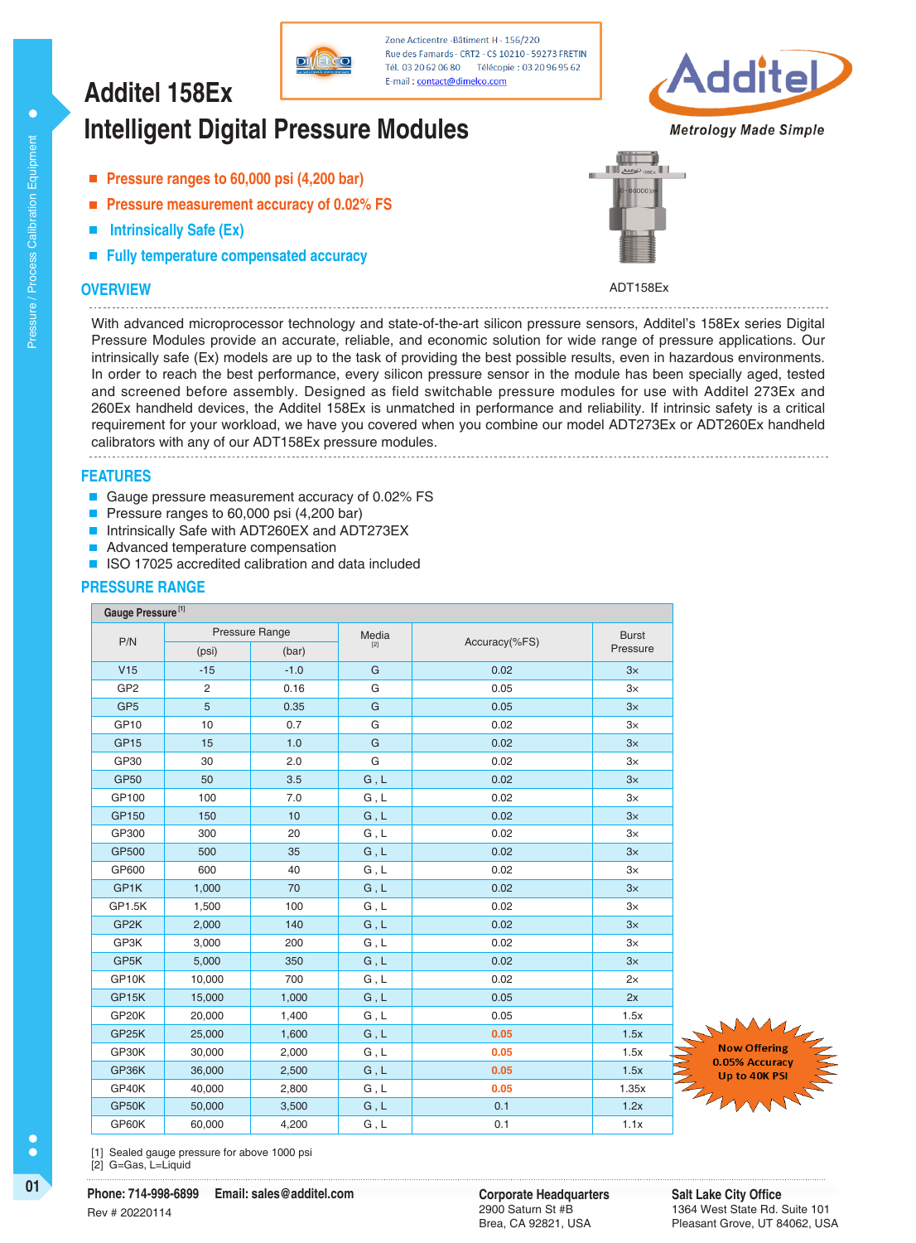## E-mail: contact@dimelco.com **Additel 158Ex Intelligent Digital Pressure Modules**

- **Pressure ranges to 60,000 psi (4,200 bar)**
- **Pressure measurement accuracy of 0.02% FS**  $\mathbf{r}$
- **Intrinsically Safe (Ex)**
- **Fully temperature compensated accuracy**

## **OVERVIEW**

Pressure / Process Calibration Equipment

Pressure / Process Calibration Equipment

 $\bullet$ 



**Metrology Made Simple** 



ADT158Ex

With advanced microprocessor technology and state-of-the-art silicon pressure sensors, Additel's 158Ex series Digital Pressure Modules provide an accurate, reliable, and economic solution for wide range of pressure applications. Our intrinsically safe (Ex) models are up to the task of providing the best possible results, even in hazardous environments. In order to reach the best performance, every silicon pressure sensor in the module has been specially aged, tested and screened before assembly. Designed as field switchable pressure modules for use with Additel 273Ex and 260Ex handheld devices, the Additel 158Ex is unmatched in performance and reliability. If intrinsic safety is a critical requirement for your workload, we have you covered when you combine our model ADT273Ex or ADT260Ex handheld calibrators with any of our ADT158Ex pressure modules.

Zone Acticentre - Bâtiment H - 156/220 Rue des Famards - CRT2 - CS 10210 - 59273 FRETIN

Tél. 03 20 62 06 80 Télécopie: 03 20 96 95 62

**FEATURES**

- Gauge pressure measurement accuracy of 0.02% FS
- Pressure ranges to 60,000 psi (4,200 bar) П
- Intrinsically Safe with ADT260EX and ADT273EX  $\blacksquare$
- Advanced temperature compensation  $\blacksquare$
- $\blacksquare$ ISO 17025 accredited calibration and data included

#### **PRESSURE RANGE**

| Gauge Pressure <sup>[1]</sup> |                 |                 |           |               |              |
|-------------------------------|-----------------|-----------------|-----------|---------------|--------------|
| P/N                           | Pressure Range  |                 | Media     |               | <b>Burst</b> |
|                               | (psi)           | (bar)           | $[2]$     | Accuracy(%FS) | Pressure     |
| V15                           | $-15$           | $-1.0$          | G         | 0.02          | 3x           |
| GP <sub>2</sub>               | $\overline{2}$  | 0.16            | G         | 0.05          | $3\times$    |
| GP <sub>5</sub>               | $5\overline{)}$ | 0.35            | ${\bf G}$ | 0.05          | 3x           |
| GP <sub>10</sub>              | 10              | 0.7             | G         | 0.02          | $3\times$    |
| GP <sub>15</sub>              | 15              | 1.0             | G         | 0.02          | 3x           |
| GP30                          | 30              | 2.0             | G         | 0.02          | $3\times$    |
| <b>GP50</b>                   | 50              | 3.5             | G, L      | 0.02          | 3x           |
| GP100                         | 100             | 7.0             | G, L      | 0.02          | $3\times$    |
| GP150                         | 150             | 10 <sup>1</sup> | G, L      | 0.02          | 3x           |
| GP300                         | 300             | 20              | G, L      | 0.02          | $3\times$    |
| GP500                         | 500             | 35              | G, L      | 0.02          | 3x           |
| GP600                         | 600             | 40              | G, L      | 0.02          | $3\times$    |
| GP1K                          | 1,000           | 70              | G, L      | 0.02          | $3\times$    |
| GP1.5K                        | 1,500           | 100             | G, L      | 0.02          | $3\times$    |
| GP <sub>2</sub> K             | 2,000           | 140             | G, L      | 0.02          | $3\times$    |
| GP3K                          | 3,000           | 200             | G, L      | 0.02          | $3\times$    |
| GP5K                          | 5,000           | 350             | G, L      | 0.02          | 3x           |
| GP10K                         | 10,000          | 700             | G, L      | 0.02          | 2x           |
| GP15K                         | 15,000          | 1,000           | G, L      | 0.05          | 2x           |
| GP20K                         | 20,000          | 1,400           | G, L      | 0.05          | 1.5x         |
| GP <sub>25</sub> K            | 25,000          | 1,600           | G, L      | 0.05          | 1.5x         |
| GP30K                         | 30,000          | 2,000           | G, L      | 0.05          | 1.5x         |
| GP36K                         | 36,000          | 2,500           | G, L      | 0.05          | 1.5x         |
| GP40K                         | 40,000          | 2,800           | G, L      | 0.05          | 1.35x        |
| GP50K                         | 50,000          | 3,500           | G, L      | 0.1           | 1.2x         |
| GP60K                         | 60.000          | 4,200           | G, L      | 0.1           | 1.1x         |



[1] Sealed gauge pressure for above 1000 psi [2] G=Gas, L=Liquid

Ċ

C

**01 Corporate Headquarters**<br> **Phone: 714-998-6899** Email: sales@additel.com **Corporate Headquarters Phone: 714-998-6899 Email: sales@additel.com** Rev # 20220114

2900 Saturn St #B Brea, CA 92821, USA **Salt Lake City Office** 1364 West State Rd. Suite 101 Pleasant Grove, UT 84062, USA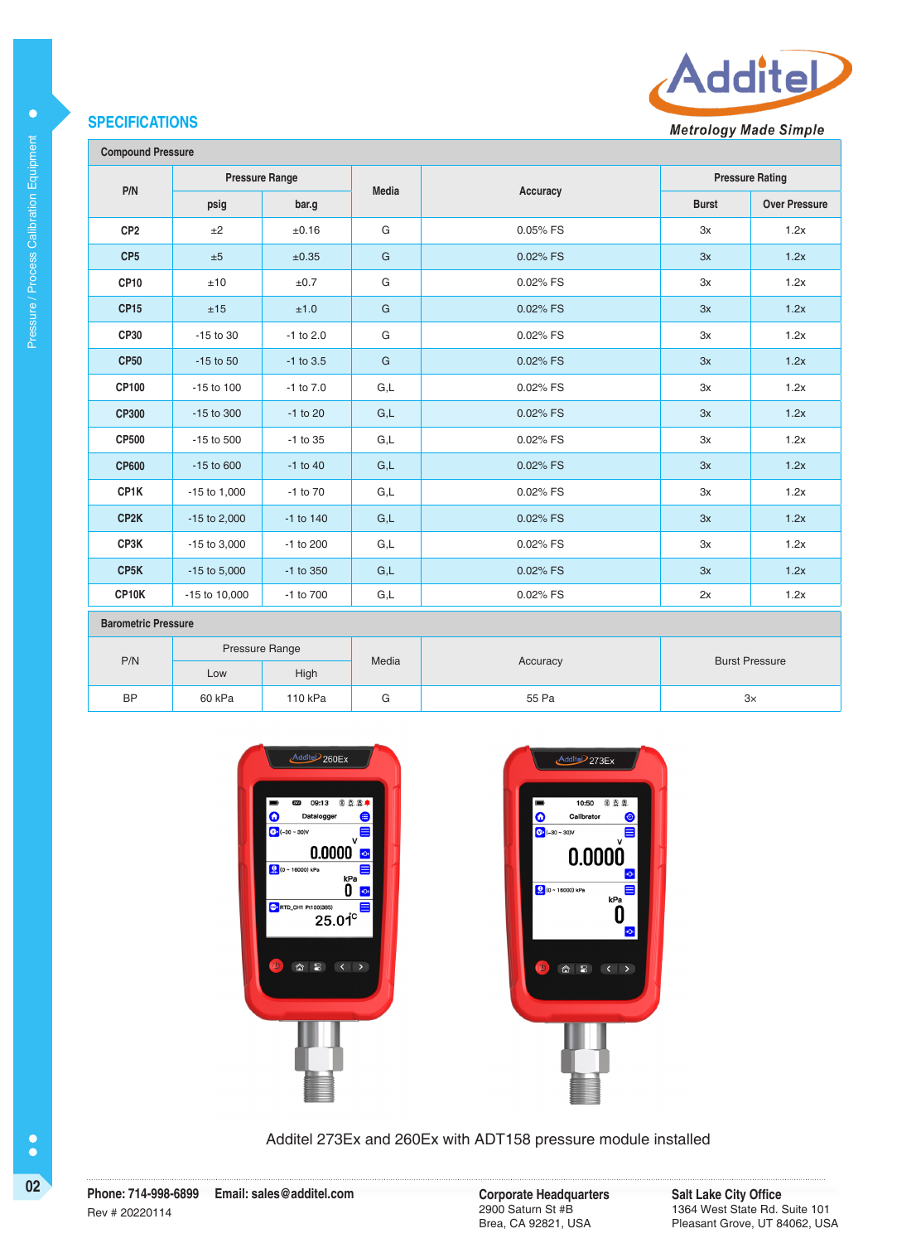## **SPECIFICATIONS**



**Metrology Made Simple** 

| <b>Compound Pressure</b> |  |
|--------------------------|--|
|--------------------------|--|

Pressure / Process Calibration Equipment

Pressure / Process Calibration Equipment

 $\bullet$ 

| <b>A A TAGAILM LIGACAILM</b> |                       |               |              |          |                        |                      |  |
|------------------------------|-----------------------|---------------|--------------|----------|------------------------|----------------------|--|
| P/N                          | <b>Pressure Range</b> |               |              |          | <b>Pressure Rating</b> |                      |  |
|                              | psig                  | bar.g         | <b>Media</b> | Accuracy | <b>Burst</b>           | <b>Over Pressure</b> |  |
| CP <sub>2</sub>              | ±2                    | ±0.16         | G            | 0.05% FS | 3x                     | 1.2x                 |  |
| CP <sub>5</sub>              | ±5                    | ±0.35         | $\mathsf{G}$ | 0.02% FS | 3x                     | 1.2x                 |  |
| <b>CP10</b>                  | ±10                   | ±0.7          | G            | 0.02% FS | 3x                     | 1.2x                 |  |
| <b>CP15</b>                  | ±15                   | ±1.0          | $\mathsf{G}$ | 0.02% FS | 3x                     | 1.2x                 |  |
| CP30                         | $-15$ to 30           | $-1$ to 2.0   | G            | 0.02% FS | 3x                     | 1.2x                 |  |
| <b>CP50</b>                  | $-15$ to $50$         | $-1$ to 3.5   | G            | 0.02% FS | 3x                     | 1.2x                 |  |
| CP100                        | $-15$ to $100$        | $-1$ to $7.0$ | G,L          | 0.02% FS | 3x                     | 1.2x                 |  |
| <b>CP300</b>                 | -15 to 300            | $-1$ to 20    | G,L          | 0.02% FS | 3x                     | 1.2x                 |  |
| <b>CP500</b>                 | $-15$ to $500$        | $-1$ to 35    | G,L          | 0.02% FS | 3x                     | 1.2x                 |  |
| <b>CP600</b>                 | $-15$ to 600          | $-1$ to $40$  | G,L          | 0.02% FS | 3x                     | 1.2x                 |  |
| CP1K                         | $-15$ to $1,000$      | $-1$ to $70$  | G,L          | 0.02% FS | 3x                     | 1.2x                 |  |
| CP <sub>2</sub> K            | $-15$ to 2,000        | $-1$ to $140$ | G,L          | 0.02% FS | 3x                     | 1.2x                 |  |
| CP3K                         | $-15$ to 3,000        | -1 to 200     | G,L          | 0.02% FS | 3x                     | 1.2x                 |  |
| CP <sub>5</sub> K            | $-15$ to $5,000$      | -1 to 350     | G,L          | 0.02% FS | 3x                     | 1.2x                 |  |
| CP10K                        | -15 to 10,000         | -1 to 700     | G,L          | 0.02% FS | 2x                     | 1.2x                 |  |
| <b>Barometric Pressure</b>   |                       |               |              |          |                        |                      |  |
|                              | <b>Pressure Range</b> |               |              |          |                        |                      |  |

|           | Pressure Range |         | Media |          |                       |
|-----------|----------------|---------|-------|----------|-----------------------|
| P/N       | Low            | High    |       | Accuracy | <b>Burst Pressure</b> |
| <b>BP</b> | 60 kPa         | 110 kPa | ◡     | 55 Pa    | З×                    |





## Additel 273Ex and 260Ex with ADT158 pressure module installed

**<sup>02</sup> Corporate Headquarters Phone: 714-998-6899 Email: sales@additel.com** Rev # 20220114

2900 Saturn St #B Brea, CA 92821, USA